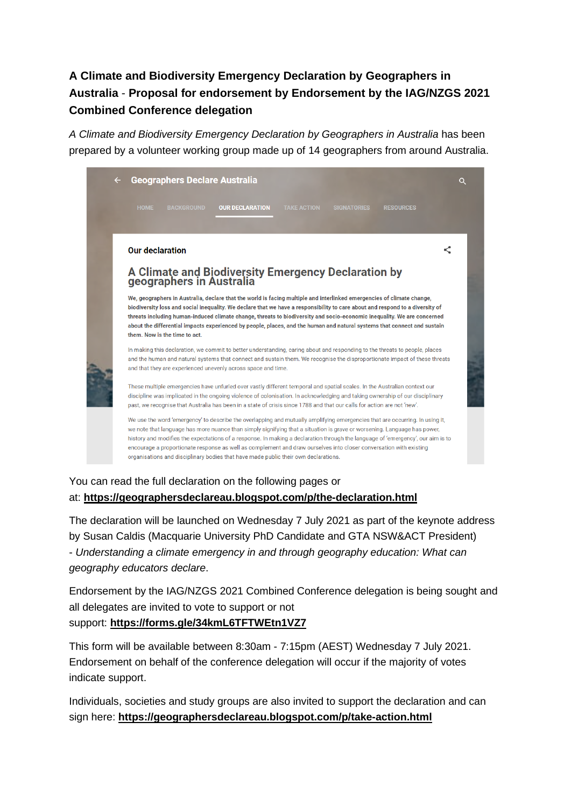# **A Climate and Biodiversity Emergency Declaration by Geographers in Australia** - **Proposal for endorsement by Endorsement by the IAG/NZGS 2021 Combined Conference delegation**

*A Climate and Biodiversity Emergency Declaration by Geographers in Australia* has been prepared by a volunteer working group made up of 14 geographers from around Australia.



## You can read the full declaration on the following pages or at: **<https://geographersdeclareau.blogspot.com/p/the-declaration.html>**

The declaration will be launched on Wednesday 7 July 2021 as part of the keynote address by Susan Caldis (Macquarie University PhD Candidate and GTA NSW&ACT President) - *Understanding a climate emergency in and through geography education: What can geography educators declare*.

Endorsement by the IAG/NZGS 2021 Combined Conference delegation is being sought and all delegates are invited to vote to support or not support: **<https://forms.gle/34kmL6TFTWEtn1VZ7>**

This form will be available between 8:30am - 7:15pm (AEST) Wednesday 7 July 2021. Endorsement on behalf of the conference delegation will occur if the majority of votes indicate support.

Individuals, societies and study groups are also invited to support the declaration and can sign here: **<https://geographersdeclareau.blogspot.com/p/take-action.html>**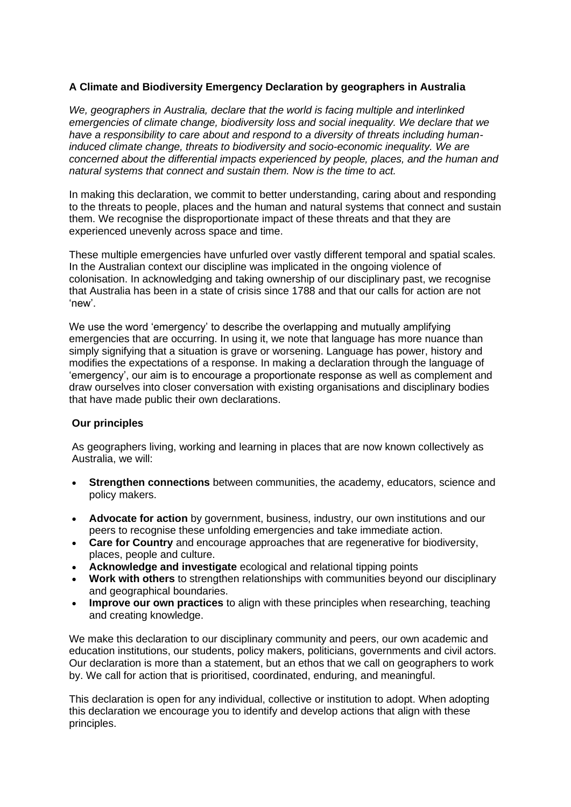### **A Climate and Biodiversity Emergency Declaration by geographers in Australia**

*We, geographers in Australia, declare that the world is facing multiple and interlinked emergencies of climate change, biodiversity loss and social inequality. We declare that we have a responsibility to care about and respond to a diversity of threats including humaninduced climate change, threats to biodiversity and socio-economic inequality. We are concerned about the differential impacts experienced by people, places, and the human and natural systems that connect and sustain them. Now is the time to act.*

In making this declaration, we commit to better understanding, caring about and responding to the threats to people, places and the human and natural systems that connect and sustain them. We recognise the disproportionate impact of these threats and that they are experienced unevenly across space and time.

These multiple emergencies have unfurled over vastly different temporal and spatial scales. In the Australian context our discipline was implicated in the ongoing violence of colonisation. In acknowledging and taking ownership of our disciplinary past, we recognise that Australia has been in a state of crisis since 1788 and that our calls for action are not 'new'.

We use the word 'emergency' to describe the overlapping and mutually amplifying emergencies that are occurring. In using it, we note that language has more nuance than simply signifying that a situation is grave or worsening. Language has power, history and modifies the expectations of a response. In making a declaration through the language of 'emergency', our aim is to encourage a proportionate response as well as complement and draw ourselves into closer conversation with existing organisations and disciplinary bodies that have made public their own declarations.

#### **Our principles**

As geographers living, working and learning in places that are now known collectively as Australia, we will:

- **Strengthen connections** between communities, the academy, educators, science and policy makers.
- **Advocate for action** by government, business, industry, our own institutions and our peers to recognise these unfolding emergencies and take immediate action.
- **Care for Country** and encourage approaches that are regenerative for biodiversity, places, people and culture.
- **Acknowledge and investigate** ecological and relational tipping points
- **Work with others** to strengthen relationships with communities beyond our disciplinary and geographical boundaries.
- **Improve our own practices** to align with these principles when researching, teaching and creating knowledge.

We make this declaration to our disciplinary community and peers, our own academic and education institutions, our students, policy makers, politicians, governments and civil actors. Our declaration is more than a statement, but an ethos that we call on geographers to work by. We call for action that is prioritised, coordinated, enduring, and meaningful.

This declaration is open for any individual, collective or institution to adopt. When adopting this declaration we encourage you to identify and develop actions that align with these principles.